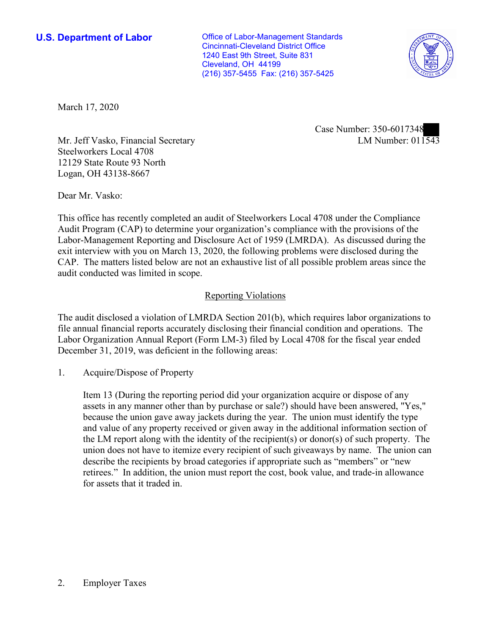Cleveland, OH 44199 **U.S. Department of Labor Conservative Conservative Conservative Conservative U.S.** Department of Labor Cincinnati-Cleveland District Office 1240 East 9th Street, Suite 831 (216) 357-5455 Fax: (216) 357-5425



March 17, 2020

LM Number:  $01\overline{1543}$ Case Number: 350-6017348

Mr. Jeff Vasko, Financial Secretary Steelworkers Local 4708 12129 State Route 93 North Logan, OH 43138-8667

Dear Mr. Vasko:

 This office has recently completed an audit of Steelworkers Local 4708 under the Compliance Audit Program (CAP) to determine your organization's compliance with the provisions of the Labor-Management Reporting and Disclosure Act of 1959 (LMRDA). As discussed during the exit interview with you on March 13, 2020, the following problems were disclosed during the CAP. The matters listed below are not an exhaustive list of all possible problem areas since the audit conducted was limited in scope.

## Reporting Violations

 Labor Organization Annual Report (Form LM-3) filed by Local 4708 for the fiscal year ended The audit disclosed a violation of LMRDA Section 201(b), which requires labor organizations to file annual financial reports accurately disclosing their financial condition and operations. The December 31, 2019, was deficient in the following areas:

1. Acquire/Dispose of Property

 and value of any property received or given away in the additional information section of retirees." In addition, the union must report the cost, book value, and trade-in allowance Item 13 (During the reporting period did your organization acquire or dispose of any assets in any manner other than by purchase or sale?) should have been answered, "Yes," because the union gave away jackets during the year. The union must identify the type the LM report along with the identity of the recipient(s) or donor(s) of such property. The union does not have to itemize every recipient of such giveaways by name. The union can describe the recipients by broad categories if appropriate such as "members" or "new for assets that it traded in.

## 2. Employer Taxes